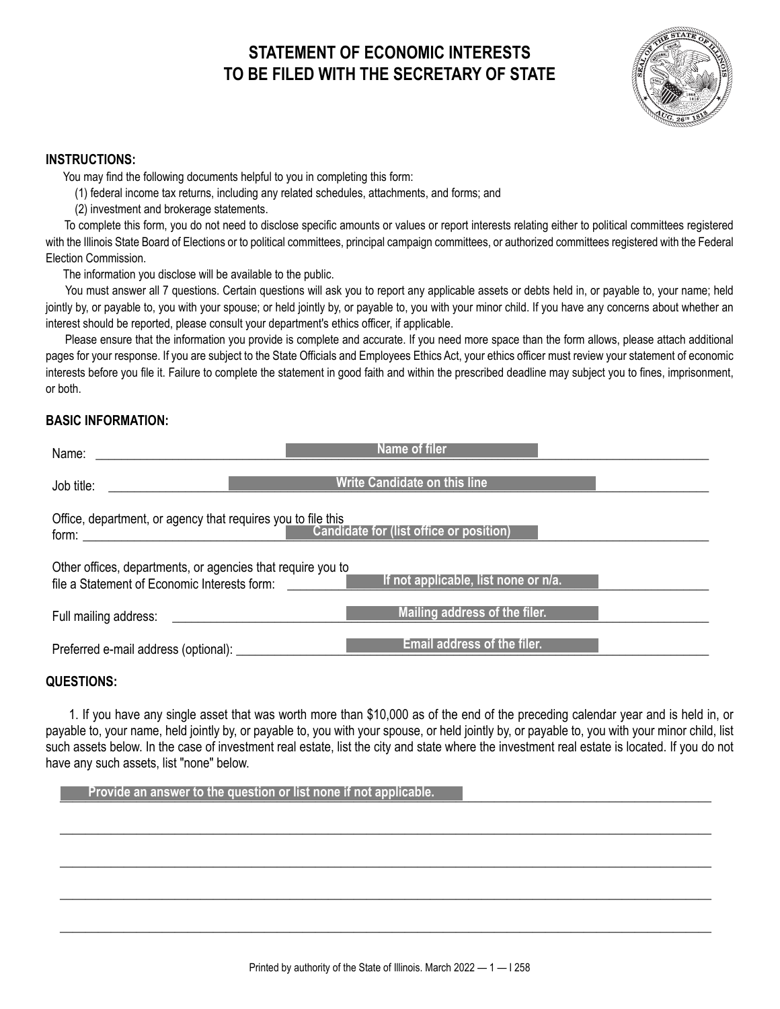# **STATEMENT OF ECONOMIC INTERESTS TO BE FILED WITH THE SECRETARY OF STATE**



#### **INSTRUCTIONS:**

You may find the following documents helpful to you in completing this form:

(1) federal income tax returns, including any related schedules, attachments, and forms; and

(2) investment and brokerage statements.

 To complete this form, you do not need to disclose specific amounts or values or report interests relating either to political committees registered with the Illinois State Board of Elections or to political committees, principal campaign committees, or authorized committees registered with the Federal Election Commission.

The information you disclose will be available to the public.

 You must answer all 7 questions. Certain questions will ask you to report any applicable assets or debts held in, or payable to, your name; held jointly by, or payable to, you with your spouse; or held jointly by, or payable to, you with your minor child. If you have any concerns about whether an interest should be reported, please consult your department's ethics officer, if applicable.

 Please ensure that the information you provide is complete and accurate. If you need more space than the form allows, please attach additional pages for your response. If you are subject to the State Officials and Employees Ethics Act, your ethics officer must review your statement of economic interests before you file it. Failure to complete the statement in good faith and within the prescribed deadline may subject you to fines, imprisonment, or both.

# **BASIC INFORMATION:**

| Name:                                                                                                                                                                                                                                                                                                                                            | Name of filer                       |  |
|--------------------------------------------------------------------------------------------------------------------------------------------------------------------------------------------------------------------------------------------------------------------------------------------------------------------------------------------------|-------------------------------------|--|
| Job title:                                                                                                                                                                                                                                                                                                                                       | <b>Write Candidate on this line</b> |  |
| Office, department, or agency that requires you to file this<br><b>Candidate for (list office or position)</b><br>form: the contract of the contract of the contract of the contract of the contract of the contract of the contract of the contract of the contract of the contract of the contract of the contract of the contract of the cont |                                     |  |
| Other offices, departments, or agencies that require you to<br>If not applicable, list none or n/a.<br>file a Statement of Economic Interests form:<br><b>Contract Contract Contract</b>                                                                                                                                                         |                                     |  |
| Full mailing address:                                                                                                                                                                                                                                                                                                                            | Mailing address of the filer.       |  |
| Preferred e-mail address (optional):                                                                                                                                                                                                                                                                                                             | Email address of the filer.         |  |

## **QUESTIONS:**

 1. If you have any single asset that was worth more than \$10,000 as of the end of the preceding calendar year and is held in, or payable to, your name, held jointly by, or payable to, you with your spouse, or held jointly by, or payable to, you with your minor child, list such assets below. In the case of investment real estate, list the city and state where the investment real estate is located. If you do not have any such assets, list "none" below.

 $\frac{1}{2}$  ,  $\frac{1}{2}$  ,  $\frac{1}{2}$  ,  $\frac{1}{2}$  ,  $\frac{1}{2}$  ,  $\frac{1}{2}$  ,  $\frac{1}{2}$  ,  $\frac{1}{2}$  ,  $\frac{1}{2}$  ,  $\frac{1}{2}$  ,  $\frac{1}{2}$  ,  $\frac{1}{2}$  ,  $\frac{1}{2}$  ,  $\frac{1}{2}$  ,  $\frac{1}{2}$  ,  $\frac{1}{2}$  ,  $\frac{1}{2}$  ,  $\frac{1}{2}$  ,  $\frac{1$ 

 $\frac{1}{2}$  ,  $\frac{1}{2}$  ,  $\frac{1}{2}$  ,  $\frac{1}{2}$  ,  $\frac{1}{2}$  ,  $\frac{1}{2}$  ,  $\frac{1}{2}$  ,  $\frac{1}{2}$  ,  $\frac{1}{2}$  ,  $\frac{1}{2}$  ,  $\frac{1}{2}$  ,  $\frac{1}{2}$  ,  $\frac{1}{2}$  ,  $\frac{1}{2}$  ,  $\frac{1}{2}$  ,  $\frac{1}{2}$  ,  $\frac{1}{2}$  ,  $\frac{1}{2}$  ,  $\frac{1$ 

 $\frac{1}{2}$  ,  $\frac{1}{2}$  ,  $\frac{1}{2}$  ,  $\frac{1}{2}$  ,  $\frac{1}{2}$  ,  $\frac{1}{2}$  ,  $\frac{1}{2}$  ,  $\frac{1}{2}$  ,  $\frac{1}{2}$  ,  $\frac{1}{2}$  ,  $\frac{1}{2}$  ,  $\frac{1}{2}$  ,  $\frac{1}{2}$  ,  $\frac{1}{2}$  ,  $\frac{1}{2}$  ,  $\frac{1}{2}$  ,  $\frac{1}{2}$  ,  $\frac{1}{2}$  ,  $\frac{1$ 

 $\frac{1}{2}$  ,  $\frac{1}{2}$  ,  $\frac{1}{2}$  ,  $\frac{1}{2}$  ,  $\frac{1}{2}$  ,  $\frac{1}{2}$  ,  $\frac{1}{2}$  ,  $\frac{1}{2}$  ,  $\frac{1}{2}$  ,  $\frac{1}{2}$  ,  $\frac{1}{2}$  ,  $\frac{1}{2}$  ,  $\frac{1}{2}$  ,  $\frac{1}{2}$  ,  $\frac{1}{2}$  ,  $\frac{1}{2}$  ,  $\frac{1}{2}$  ,  $\frac{1}{2}$  ,  $\frac{1$ 

**Provide an answer to the question or list none if not applicable.**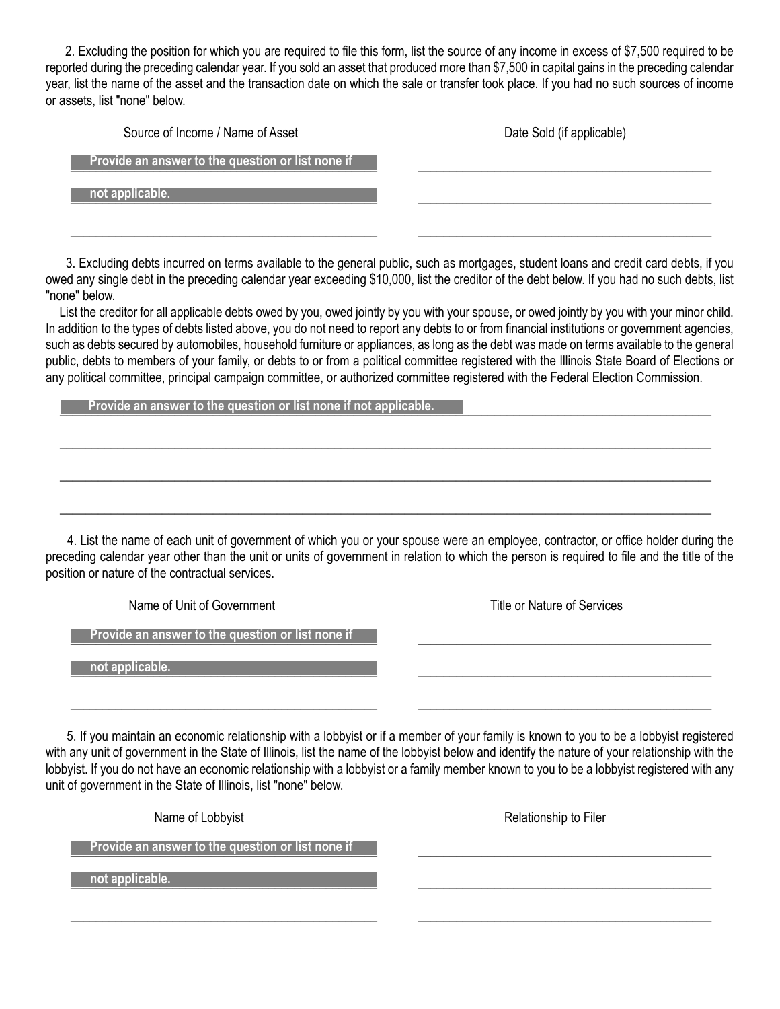2. Excluding the position for which you are required to file this form, list the source of any income in excess of \$7,500 required to be reported during the preceding calendar year. If you sold an asset that produced more than \$7,500 in capital gains in the preceding calendar year, list the name of the asset and the transaction date on which the sale or transfer took place. If you had no such sources of income or assets, list "none" below.

| Source of Income / Name of Asset                  | Date Sold (if applicable) |
|---------------------------------------------------|---------------------------|
| Provide an answer to the question or list none if |                           |
| not applicable.                                   |                           |
|                                                   |                           |

 3. Excluding debts incurred on terms available to the general public, such as mortgages, student loans and credit card debts, if you owed any single debt in the preceding calendar year exceeding \$10,000, list the creditor of the debt below. If you had no such debts, list "none" below.

 List the creditor for all applicable debts owed by you, owed jointly by you with your spouse, or owed jointly by you with your minor child. In addition to the types of debts listed above, you do not need to report any debts to or from financial institutions or government agencies, such as debts secured by automobiles, household furniture or appliances, as long as the debt was made on terms available to the general public, debts to members of your family, or debts to or from a political committee registered with the Illinois State Board of Elections or any political committee, principal campaign committee, or authorized committee registered with the Federal Election Commission.

 $\frac{1}{2}$  ,  $\frac{1}{2}$  ,  $\frac{1}{2}$  ,  $\frac{1}{2}$  ,  $\frac{1}{2}$  ,  $\frac{1}{2}$  ,  $\frac{1}{2}$  ,  $\frac{1}{2}$  ,  $\frac{1}{2}$  ,  $\frac{1}{2}$  ,  $\frac{1}{2}$  ,  $\frac{1}{2}$  ,  $\frac{1}{2}$  ,  $\frac{1}{2}$  ,  $\frac{1}{2}$  ,  $\frac{1}{2}$  ,  $\frac{1}{2}$  ,  $\frac{1}{2}$  ,  $\frac{1$ 

 $\frac{1}{2}$  ,  $\frac{1}{2}$  ,  $\frac{1}{2}$  ,  $\frac{1}{2}$  ,  $\frac{1}{2}$  ,  $\frac{1}{2}$  ,  $\frac{1}{2}$  ,  $\frac{1}{2}$  ,  $\frac{1}{2}$  ,  $\frac{1}{2}$  ,  $\frac{1}{2}$  ,  $\frac{1}{2}$  ,  $\frac{1}{2}$  ,  $\frac{1}{2}$  ,  $\frac{1}{2}$  ,  $\frac{1}{2}$  ,  $\frac{1}{2}$  ,  $\frac{1}{2}$  ,  $\frac{1$ 

 $\frac{1}{2}$  ,  $\frac{1}{2}$  ,  $\frac{1}{2}$  ,  $\frac{1}{2}$  ,  $\frac{1}{2}$  ,  $\frac{1}{2}$  ,  $\frac{1}{2}$  ,  $\frac{1}{2}$  ,  $\frac{1}{2}$  ,  $\frac{1}{2}$  ,  $\frac{1}{2}$  ,  $\frac{1}{2}$  ,  $\frac{1}{2}$  ,  $\frac{1}{2}$  ,  $\frac{1}{2}$  ,  $\frac{1}{2}$  ,  $\frac{1}{2}$  ,  $\frac{1}{2}$  ,  $\frac{1$ 

**Provide an answer to the question or list none if not applicable.** 

 4. List the name of each unit of government of which you or your spouse were an employee, contractor, or office holder during the preceding calendar year other than the unit or units of government in relation to which the person is required to file and the title of the position or nature of the contractual services.

Name of Unit of Government Title or Nature of Services

\_\_\_\_\_\_\_\_\_\_\_\_\_\_\_\_\_\_\_\_\_\_\_\_\_\_\_\_\_\_\_\_\_\_\_\_\_\_\_\_\_\_\_\_\_\_\_\_ \_\_\_\_\_\_\_\_\_\_\_\_\_\_\_\_\_\_\_\_\_\_\_\_\_\_\_\_\_\_\_\_\_\_\_\_\_\_\_\_\_\_\_\_\_\_  **Provide an answer to the question or list none if** 

 $\blacksquare$  not applicable.  $\blacksquare$  **not applicable.** 

 5. If you maintain an economic relationship with a lobbyist or if a member of your family is known to you to be a lobbyist registered with any unit of government in the State of Illinois, list the name of the lobbyist below and identify the nature of your relationship with the lobbyist. If you do not have an economic relationship with a lobbyist or a family member known to you to be a lobbyist registered with any unit of government in the State of Illinois, list "none" below.

\_\_\_\_\_\_\_\_\_\_\_\_\_\_\_\_\_\_\_\_\_\_\_\_\_\_\_\_\_\_\_\_\_\_\_\_\_\_\_\_\_\_\_\_\_\_\_\_ \_\_\_\_\_\_\_\_\_\_\_\_\_\_\_\_\_\_\_\_\_\_\_\_\_\_\_\_\_\_\_\_\_\_\_\_\_\_\_\_\_\_\_\_\_\_

Name of Lobbyist **Relationship to Filer** Relationship to Filer **Example 2 Provide an answer to the question or list none if**  $\blacksquare$ \_\_\_\_\_\_\_\_\_\_\_\_\_\_\_\_\_\_\_\_\_\_\_\_\_\_\_\_\_\_\_\_\_\_\_\_\_\_\_\_\_\_\_\_\_\_\_\_ \_\_\_\_\_\_\_\_\_\_\_\_\_\_\_\_\_\_\_\_\_\_\_\_\_\_\_\_\_\_\_\_\_\_\_\_\_\_\_\_\_\_\_\_\_\_  **not applicable.** 

\_\_\_\_\_\_\_\_\_\_\_\_\_\_\_\_\_\_\_\_\_\_\_\_\_\_\_\_\_\_\_\_\_\_\_\_\_\_\_\_\_\_\_\_\_\_\_\_ \_\_\_\_\_\_\_\_\_\_\_\_\_\_\_\_\_\_\_\_\_\_\_\_\_\_\_\_\_\_\_\_\_\_\_\_\_\_\_\_\_\_\_\_\_\_